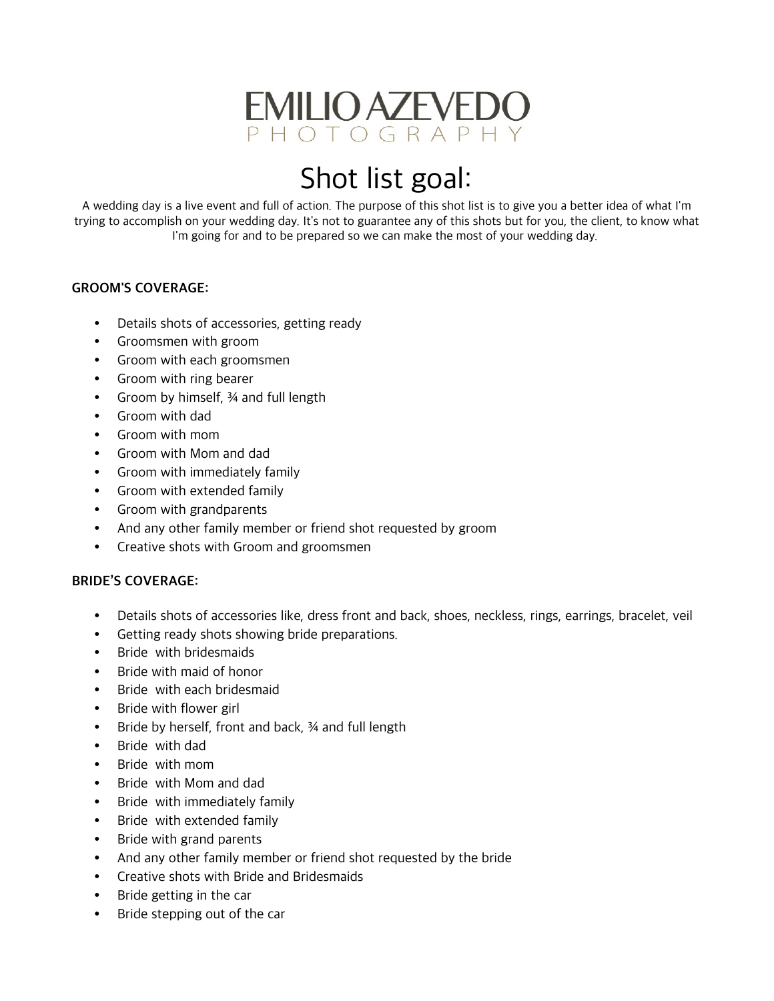

# Shot list goal:

A wedding day is a live event and full of action. The purpose of this shot list is to give you a better idea of what I'm trying to accomplish on your wedding day. It's not to guarantee any of this shots but for you, the client, to know what I'm going for and to be prepared so we can make the most of your wedding day.

## GROOM'S COVERAGE:

- Details shots of accessories, getting ready
- Groomsmen with groom
- Groom with each groomsmen
- Groom with ring bearer
- Groom by himself, 34 and full length
- Groom with dad
- Groom with mom
- Groom with Mom and dad
- Groom with immediately family
- Groom with extended family
- Groom with grandparents
- And any other family member or friend shot requested by groom
- Creative shots with Groom and groomsmen

## BRIDE'S COVERAGE:

- Details shots of accessories like, dress front and back, shoes, neckless, rings, earrings, bracelet, veil
- Getting ready shots showing bride preparations.
- Bride with bridesmaids
- Bride with maid of honor
- Bride with each bridesmaid
- Bride with flower girl
- Bride by herself, front and back, 34 and full length
- Bride with dad
- Bride with mom
- Bride with Mom and dad
- Bride with immediately family
- Bride with extended family
- Bride with grand parents
- And any other family member or friend shot requested by the bride
- Creative shots with Bride and Bridesmaids
- Bride getting in the car
- Bride stepping out of the car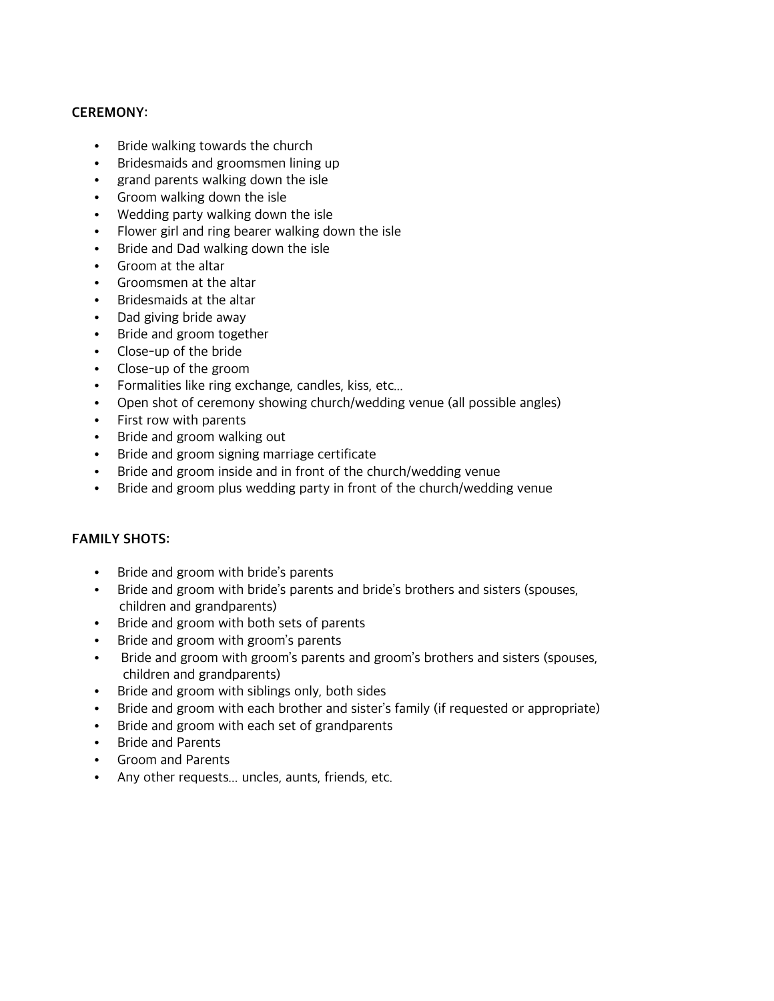### CEREMONY:

- Bride walking towards the church
- Bridesmaids and groomsmen lining up
- grand parents walking down the isle
- Groom walking down the isle
- Wedding party walking down the isle
- Flower girl and ring bearer walking down the isle
- Bride and Dad walking down the isle
- Groom at the altar
- Groomsmen at the altar
- Bridesmaids at the altar
- Dad giving bride away
- Bride and groom together
- Close-up of the bride
- Close-up of the groom
- Formalities like ring exchange, candles, kiss, etc...
- Open shot of ceremony showing church/wedding venue (all possible angles)
- First row with parents
- Bride and groom walking out
- Bride and groom signing marriage certificate
- Bride and groom inside and in front of the church/wedding venue
- Bride and groom plus wedding party in front of the church/wedding venue

#### FAMILY SHOTS:

- Bride and groom with bride's parents
- Bride and groom with bride's parents and bride's brothers and sisters (spouses, children and grandparents)
- Bride and groom with both sets of parents
- Bride and groom with groom's parents
- Bride and groom with groom's parents and groom's brothers and sisters (spouses, children and grandparents)
- Bride and groom with siblings only, both sides
- Bride and groom with each brother and sister's family (if requested or appropriate)
- Bride and groom with each set of grandparents
- Bride and Parents
- Groom and Parents
- Any other requests... uncles, aunts, friends, etc.